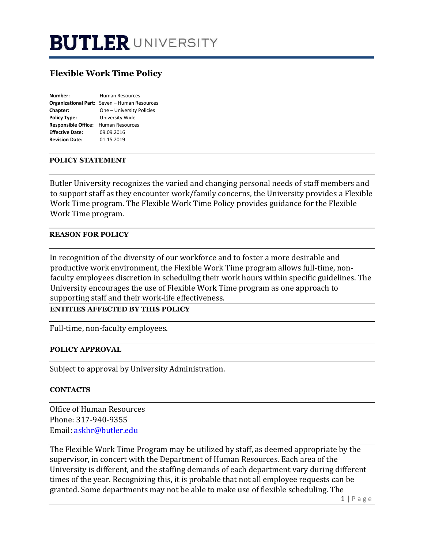# **BUTLER UNIVERSITY**

# **Flexible Work Time Policy**

| Number:                    | <b>Human Resources</b>                       |
|----------------------------|----------------------------------------------|
|                            | Organizational Part: Seven - Human Resources |
| Chapter:                   | One - University Policies                    |
| <b>Policy Type:</b>        | University Wide                              |
| <b>Responsible Office:</b> | <b>Human Resources</b>                       |
| <b>Effective Date:</b>     | 09.09.2016                                   |
| <b>Revision Date:</b>      | 01.15.2019                                   |

#### **POLICY STATEMENT**

Butler University recognizes the varied and changing personal needs of staff members and to support staff as they encounter work/family concerns, the University provides a Flexible Work Time program. The Flexible Work Time Policy provides guidance for the Flexible Work Time program.

#### **REASON FOR POLICY**

In recognition of the diversity of our workforce and to foster a more desirable and productive work environment, the Flexible Work Time program allows full-time, nonfaculty employees discretion in scheduling their work hours within specific guidelines. The University encourages the use of Flexible Work Time program as one approach to supporting staff and their work-life effectiveness.

**ENTITIES AFFECTED BY THIS POLICY** 

Full-time, non-faculty employees.

#### **POLICY APPROVAL**

Subject to approval by University Administration.

#### **CONTACTS**

Office of Human Resources Phone: 317-940-9355 Email: askhr@butler.edu

The Flexible Work Time Program may be utilized by staff, as deemed appropriate by the supervisor, in concert with the Department of Human Resources. Each area of the University is different, and the staffing demands of each department vary during different times of the year. Recognizing this, it is probable that not all employee requests can be granted. Some departments may not be able to make use of flexible scheduling. The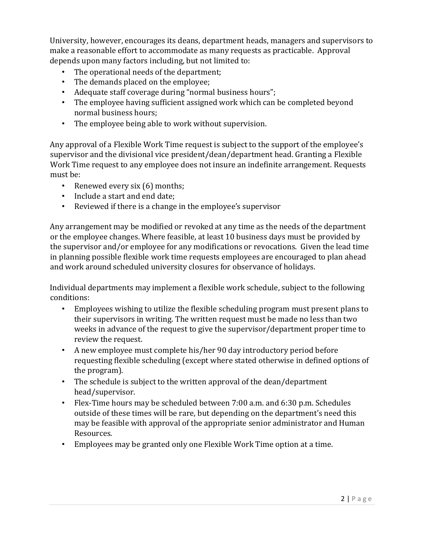University, however, encourages its deans, department heads, managers and supervisors to make a reasonable effort to accommodate as many requests as practicable. Approval depends upon many factors including, but not limited to:

- The operational needs of the department;
- The demands placed on the employee;
- Adequate staff coverage during "normal business hours";
- The employee having sufficient assigned work which can be completed beyond normal business hours;
- The employee being able to work without supervision.

Any approval of a Flexible Work Time request is subject to the support of the employee's supervisor and the divisional vice president/dean/department head. Granting a Flexible Work Time request to any employee does not insure an indefinite arrangement. Requests must be:

- Renewed every six (6) months;
- Include a start and end date;
- Reviewed if there is a change in the employee's supervisor

Any arrangement may be modified or revoked at any time as the needs of the department or the employee changes. Where feasible, at least 10 business days must be provided by the supervisor and/or employee for any modifications or revocations. Given the lead time in planning possible flexible work time requests employees are encouraged to plan ahead and work around scheduled university closures for observance of holidays.

Individual departments may implement a flexible work schedule, subject to the following conditions:

- Employees wishing to utilize the flexible scheduling program must present plans to their supervisors in writing. The written request must be made no less than two weeks in advance of the request to give the supervisor/department proper time to review the request.
- A new employee must complete his/her 90 day introductory period before requesting flexible scheduling (except where stated otherwise in defined options of the program).
- The schedule is subject to the written approval of the dean/department head/supervisor.
- Flex-Time hours may be scheduled between 7:00 a.m. and 6:30 p.m. Schedules outside of these times will be rare, but depending on the department's need this may be feasible with approval of the appropriate senior administrator and Human Resources.
- Employees may be granted only one Flexible Work Time option at a time.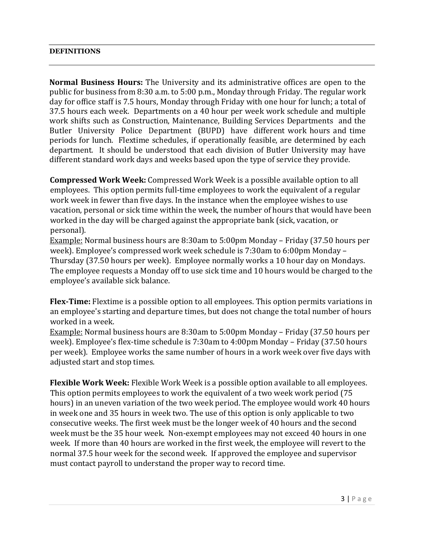#### **DEFINITIONS**

**Normal Business Hours:** The University and its administrative offices are open to the public for business from 8:30 a.m. to 5:00 p.m., Monday through Friday. The regular work day for office staff is 7.5 hours, Monday through Friday with one hour for lunch; a total of 37.5 hours each week. Departments on a 40 hour per week work schedule and multiple work shifts such as Construction, Maintenance, Building Services Departments and the Butler University Police Department (BUPD) have different work hours and time periods for lunch. Flextime schedules, if operationally feasible, are determined by each department. It should be understood that each division of Butler University may have different standard work days and weeks based upon the type of service they provide.

**Compressed Work Week:** Compressed Work Week is a possible available option to all employees. This option permits full-time employees to work the equivalent of a regular work week in fewer than five days. In the instance when the employee wishes to use vacation, personal or sick time within the week, the number of hours that would have been worked in the day will be charged against the appropriate bank (sick, vacation, or personal).

Example: Normal business hours are 8:30am to 5:00pm Monday – Friday (37.50 hours per week). Employee's compressed work week schedule is 7:30am to 6:00pm Monday – Thursday (37.50 hours per week). Employee normally works a 10 hour day on Mondays. The employee requests a Monday off to use sick time and 10 hours would be charged to the employee's available sick balance.

**Flex-Time:** Flextime is a possible option to all employees. This option permits variations in an employee's starting and departure times, but does not change the total number of hours worked in a week.

Example: Normal business hours are 8:30am to 5:00pm Monday – Friday (37.50 hours per week). Employee's flex-time schedule is 7:30am to 4:00pm Monday – Friday (37.50 hours per week). Employee works the same number of hours in a work week over five days with adjusted start and stop times.

**Flexible Work Week:** Flexible Work Week is a possible option available to all employees. This option permits employees to work the equivalent of a two week work period (75 hours) in an uneven variation of the two week period. The employee would work 40 hours in week one and 35 hours in week two. The use of this option is only applicable to two consecutive weeks. The first week must be the longer week of 40 hours and the second week must be the 35 hour week. Non-exempt employees may not exceed 40 hours in one week. If more than 40 hours are worked in the first week, the employee will revert to the normal 37.5 hour week for the second week. If approved the employee and supervisor must contact payroll to understand the proper way to record time.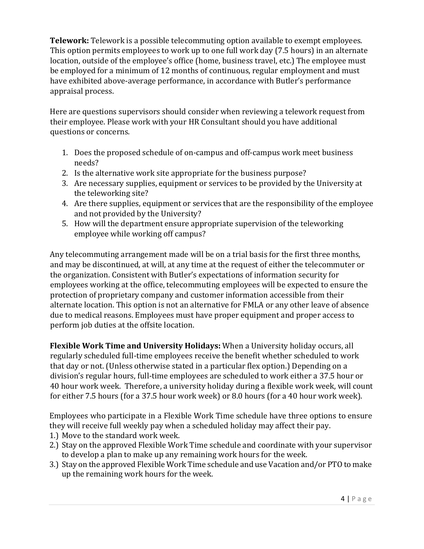**Telework:** Telework is a possible telecommuting option available to exempt employees. This option permits employees to work up to one full work day (7.5 hours) in an alternate location, outside of the employee's office (home, business travel, etc.) The employee must be employed for a minimum of 12 months of continuous, regular employment and must have exhibited above-average performance, in accordance with Butler's performance appraisal process.

Here are questions supervisors should consider when reviewing a telework request from their employee. Please work with your HR Consultant should you have additional questions or concerns.

- 1. Does the proposed schedule of on-campus and off-campus work meet business needs?
- 2. Is the alternative work site appropriate for the business purpose?
- 3. Are necessary supplies, equipment or services to be provided by the University at the teleworking site?
- 4. Are there supplies, equipment or services that are the responsibility of the employee and not provided by the University?
- 5. How will the department ensure appropriate supervision of the teleworking employee while working off campus?

Any telecommuting arrangement made will be on a trial basis for the first three months, and may be discontinued, at will, at any time at the request of either the telecommuter or the organization. Consistent with Butler's expectations of information security for employees working at the office, telecommuting employees will be expected to ensure the protection of proprietary company and customer information accessible from their alternate location. This option is not an alternative for FMLA or any other leave of absence due to medical reasons. Employees must have proper equipment and proper access to perform job duties at the offsite location.

**Flexible Work Time and University Holidays:** When a University holiday occurs, all regularly scheduled full-time employees receive the benefit whether scheduled to work that day or not. (Unless otherwise stated in a particular flex option.) Depending on a division's regular hours, full-time employees are scheduled to work either a 37.5 hour or 40 hour work week. Therefore, a university holiday during a flexible work week, will count for either 7.5 hours (for a 37.5 hour work week) or 8.0 hours (for a 40 hour work week).

Employees who participate in a Flexible Work Time schedule have three options to ensure they will receive full weekly pay when a scheduled holiday may affect their pay.

- 1.) Move to the standard work week.
- 2.) Stay on the approved Flexible Work Time schedule and coordinate with your supervisor to develop a plan to make up any remaining work hours for the week.
- 3.) Stay on the approved Flexible Work Time schedule and use Vacation and/or PTO to make up the remaining work hours for the week.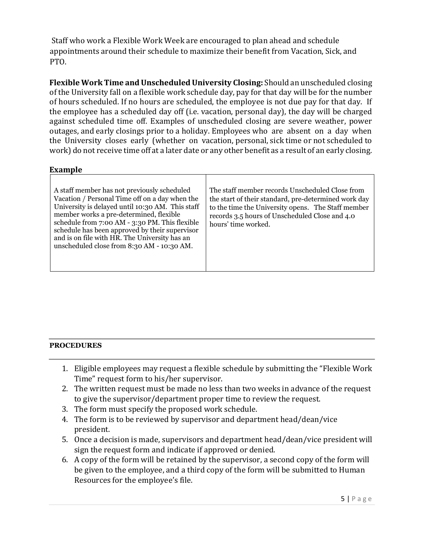Staff who work a Flexible Work Week are encouraged to plan ahead and schedule appointments around their schedule to maximize their benefit from Vacation, Sick, and PTO.

**Flexible Work Time and Unscheduled University Closing:** Should an unscheduled closing of the University fall on a flexible work schedule day, pay for that day will be for the number of hours scheduled. If no hours are scheduled, the employee is not due pay for that day. If the employee has a scheduled day off (i.e. vacation, personal day), the day will be charged against scheduled time off. Examples of unscheduled closing are severe weather, power outages, and early closings prior to a holiday. Employees who are absent on a day when the University closes early (whether on vacation, personal, sick time or not scheduled to work) do not receive time off at a later date or any other benefit as a result of an early closing.

## **Example**

| A staff member has not previously scheduled<br>Vacation / Personal Time off on a day when the<br>University is delayed until 10:30 AM. This staff<br>member works a pre-determined, flexible<br>schedule from 7:00 AM - 3:30 PM. This flexible<br>schedule has been approved by their supervisor<br>and is on file with HR. The University has an<br>unscheduled close from 8:30 AM - 10:30 AM. | The staff member records Unscheduled Close from<br>the start of their standard, pre-determined work day<br>to the time the University opens. The Staff member<br>records 3.5 hours of Unscheduled Close and 4.0<br>hours' time worked. |
|-------------------------------------------------------------------------------------------------------------------------------------------------------------------------------------------------------------------------------------------------------------------------------------------------------------------------------------------------------------------------------------------------|----------------------------------------------------------------------------------------------------------------------------------------------------------------------------------------------------------------------------------------|
|-------------------------------------------------------------------------------------------------------------------------------------------------------------------------------------------------------------------------------------------------------------------------------------------------------------------------------------------------------------------------------------------------|----------------------------------------------------------------------------------------------------------------------------------------------------------------------------------------------------------------------------------------|

### **PROCEDURES**

- 1. Eligible employees may request a flexible schedule by submitting the "Flexible Work Time" request form to his/her supervisor.
- 2. The written request must be made no less than two weeks in advance of the request to give the supervisor/department proper time to review the request.
- 3. The form must specify the proposed work schedule.
- 4. The form is to be reviewed by supervisor and department head/dean/vice president.
- 5. Once a decision is made, supervisors and department head/dean/vice president will sign the request form and indicate if approved or denied.
- 6. A copy of the form will be retained by the supervisor, a second copy of the form will be given to the employee, and a third copy of the form will be submitted to Human Resources for the employee's file.